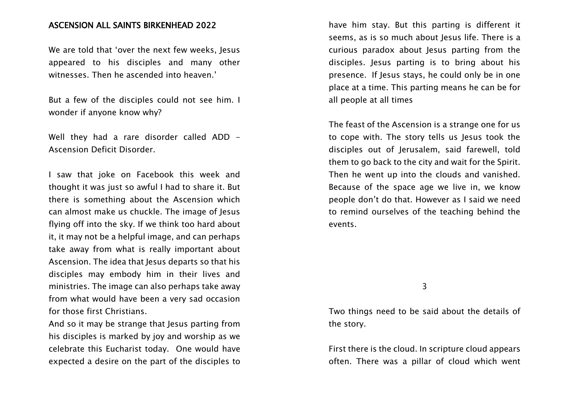## ASCENSION ALL SAINTS BIRKENHEAD 2022

We are told that 'over the next few weeks, Jesus appeared to his disciples and many other witnesses. Then he ascended into heaven.'

But a few of the disciples could not see him. I wonder if anyone know why?

Well they had a rare disorder called ADD -Ascension Deficit Disorder.

I saw that joke on Facebook this week and thought it was just so awful I had to share it. But there is something about the Ascension which can almost make us chuckle. The image of Jesus flying off into the sky. If we think too hard about it, it may not be a helpful image, and can perhaps take away from what is really important about Ascension. The idea that Jesus departs so that his disciples may embody him in their lives and ministries. The image can also perhaps take away from what would have been a very sad occasion for those first Christians.

And so it may be strange that Jesus parting from his disciples is marked by joy and worship as we celebrate this Eucharist today. One would have expected a desire on the part of the disciples to have him stay. But this parting is different it seems, as is so much about lesus life. There is a curious paradox about Jesus parting from the disciples. Jesus parting is to bring about his presence. If Jesus stays, he could only be in one place at a time. This parting means he can be for all people at all times

The feast of the Ascension is a strange one for us to cope with. The story tells us Jesus took the disciples out of Jerusalem, said farewell, told them to go back to the city and wait for the Spirit. Then he went up into the clouds and vanished. Because of the space age we live in, we know people don't do that. However as I said we need to remind ourselves of the teaching behind the events.

3

Two things need to be said about the details of the story.

First there is the cloud. In scripture cloud appears often. There was a pillar of cloud which went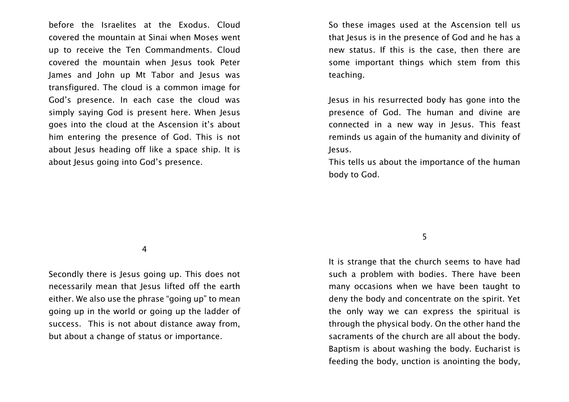before the Israelites at the Exodus. Cloud covered the mountain at Sinai when Moses went up to receive the Ten Commandments. Cloud covered the mountain when Jesus took Peter James and John up Mt Tabor and Jesus was transfigured. The cloud is a common image for God's presence. In each case the cloud was simply saying God is present here. When Jesus goes into the cloud at the Ascension it's about him entering the presence of God. This is not about Jesus heading off like a space ship. It is about Jesus going into God's presence.

So these images used at the Ascension tell us that Jesus is in the presence of God and he has a new status. If this is the case, then there are some important things which stem from this teaching.

Jesus in his resurrected body has gone into the presence of God. The human and divine are connected in a new way in Jesus. This feast reminds us again of the humanity and divinity of Jesus.

This tells us about the importance of the human body to God.

4

Secondly there is Jesus going up. This does not necessarily mean that Jesus lifted off the earth either. We also use the phrase "going up" to mean going up in the world or going up the ladder of success. This is not about distance away from, but about a change of status or importance.

## 5

It is strange that the church seems to have had such a problem with bodies. There have been many occasions when we have been taught to deny the body and concentrate on the spirit. Yet the only way we can express the spiritual is through the physical body. On the other hand the sacraments of the church are all about the body. Baptism is about washing the body. Eucharist is feeding the body, unction is anointing the body,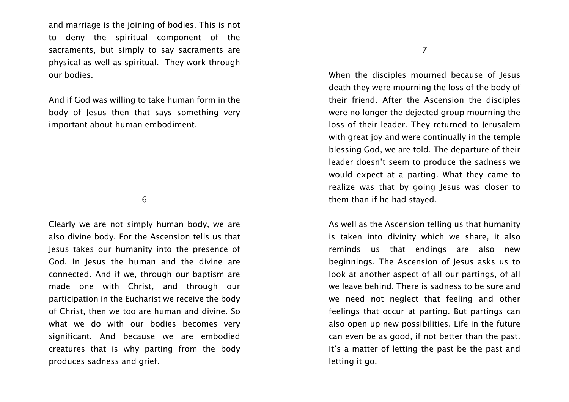and marriage is the joining of bodies. This is not to deny the spiritual component of the sacraments, but simply to say sacraments are physical as well as spiritual. They work through our bodies.

And if God was willing to take human form in the body of Jesus then that says something very important about human embodiment.

6

Clearly we are not simply human body, we are also divine body. For the Ascension tells us that Jesus takes our humanity into the presence of God. In Jesus the human and the divine are connected. And if we, through our baptism are made one with Christ, and through our participation in the Eucharist we receive the body of Christ, then we too are human and divine. So what we do with our bodies becomes very significant. And because we are embodied creatures that is why parting from the body produces sadness and grief.

7

When the disciples mourned because of Jesus death they were mourning the loss of the body of their friend. After the Ascension the disciples were no longer the dejected group mourning the loss of their leader. They returned to Jerusalem with great joy and were continually in the temple blessing God, we are told. The departure of their leader doesn't seem to produce the sadness we would expect at a parting. What they came to realize was that by going Jesus was closer to them than if he had stayed.

As well as the Ascension telling us that humanity is taken into divinity which we share, it also reminds us that endings are also new beginnings. The Ascension of Jesus asks us to look at another aspect of all our partings, of all we leave behind. There is sadness to be sure and we need not neglect that feeling and other feelings that occur at parting. But partings can also open up new possibilities. Life in the future can even be as good, if not better than the past. It's a matter of letting the past be the past and letting it go.